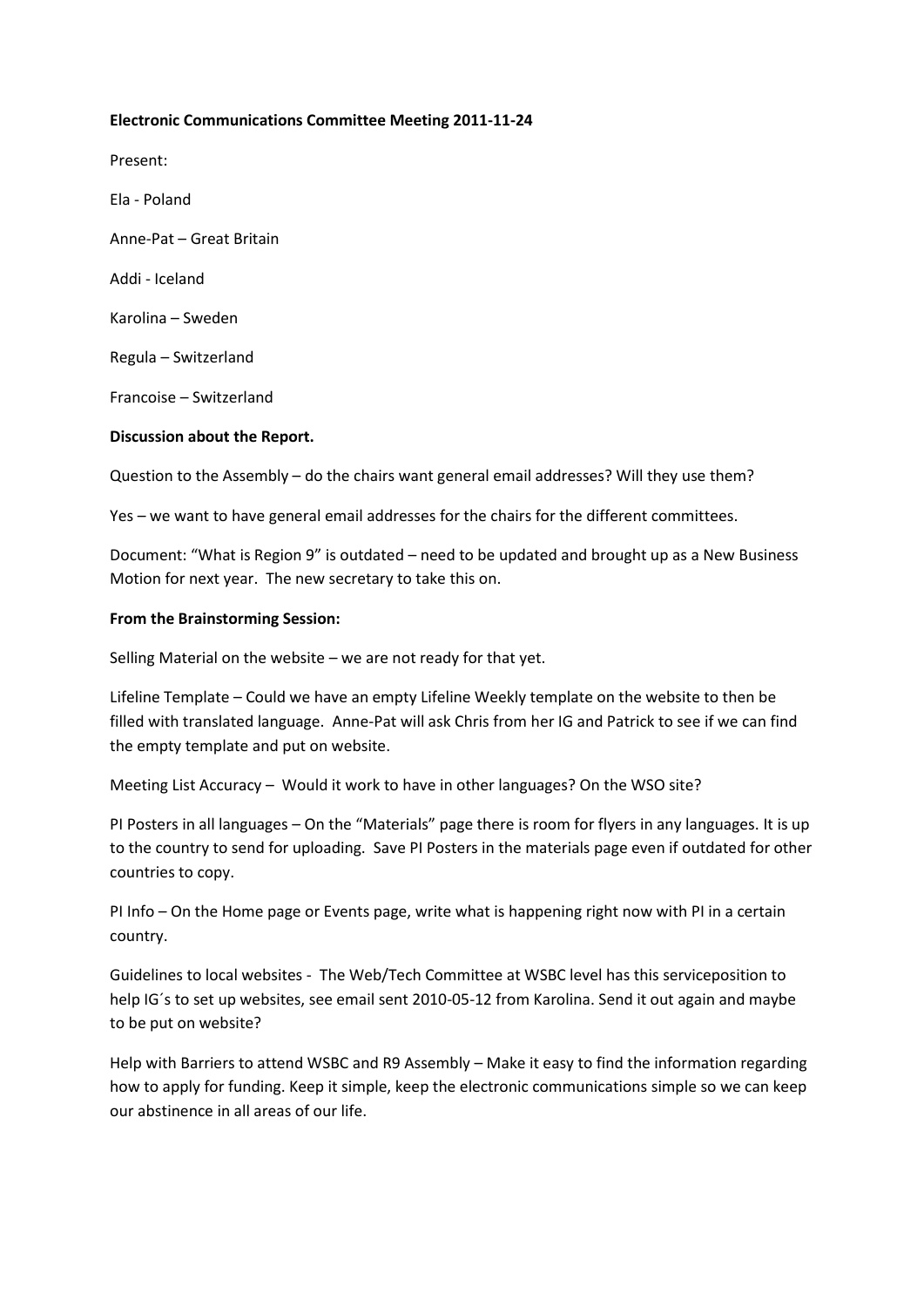## **Electronic Communications Committee Meeting 2011-11-24**

Present:

Ela - Poland Anne-Pat – Great Britain Addi - Iceland Karolina – Sweden Regula – Switzerland Francoise – Switzerland

## **Discussion about the Report.**

Question to the Assembly – do the chairs want general email addresses? Will they use them?

Yes – we want to have general email addresses for the chairs for the different committees.

Document: "What is Region 9" is outdated – need to be updated and brought up as a New Business Motion for next year. The new secretary to take this on.

#### **From the Brainstorming Session:**

Selling Material on the website – we are not ready for that yet.

Lifeline Template – Could we have an empty Lifeline Weekly template on the website to then be filled with translated language. Anne-Pat will ask Chris from her IG and Patrick to see if we can find the empty template and put on website.

Meeting List Accuracy – Would it work to have in other languages? On the WSO site?

PI Posters in all languages – On the "Materials" page there is room for flyers in any languages. It is up to the country to send for uploading. Save PI Posters in the materials page even if outdated for other countries to copy.

PI Info – On the Home page or Events page, write what is happening right now with PI in a certain country.

Guidelines to local websites - The Web/Tech Committee at WSBC level has this serviceposition to help IG´s to set up websites, see email sent 2010-05-12 from Karolina. Send it out again and maybe to be put on website?

Help with Barriers to attend WSBC and R9 Assembly – Make it easy to find the information regarding how to apply for funding. Keep it simple, keep the electronic communications simple so we can keep our abstinence in all areas of our life.